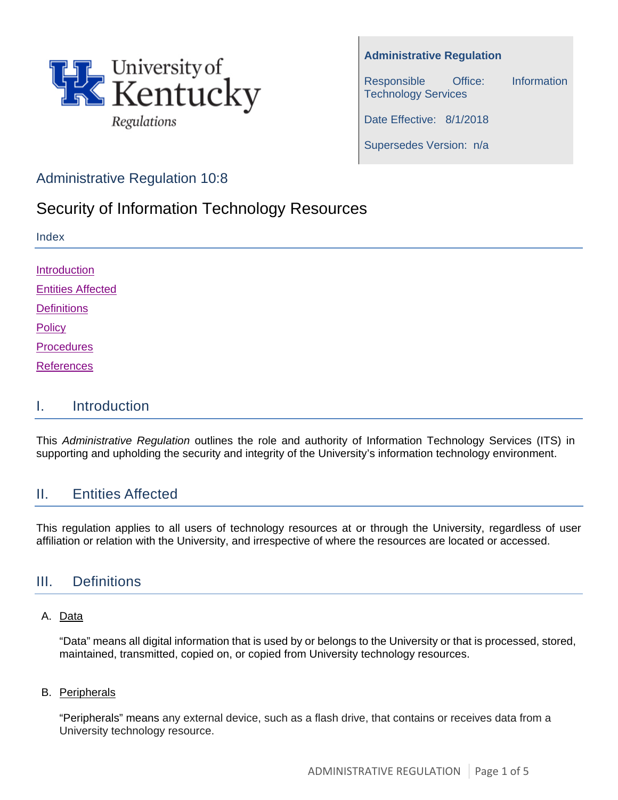

**Administrative Regulation** 

Responsible Office: Information Technology Services

Date Effective: 8/1/2018

Supersedes Version: n/a

## Administrative Regulation 10:8

# Security of Information Technology Resources

| Index                    |  |  |
|--------------------------|--|--|
| Introduction             |  |  |
|                          |  |  |
| <b>Entities Affected</b> |  |  |
| <b>Definitions</b>       |  |  |
| Policy                   |  |  |
| <b>Procedures</b>        |  |  |
| <b>References</b>        |  |  |
|                          |  |  |

### <span id="page-0-0"></span>I. Introduction

This *Administrative Regulation* outlines the role and authority of Information Technology Services (ITS) in supporting and upholding the security and integrity of the University's information technology environment.

## <span id="page-0-1"></span>II. Entities Affected

This regulation applies to all users of technology resources at or through the University, regardless of user affiliation or relation with the University, and irrespective of where the resources are located or accessed.

## <span id="page-0-2"></span>III. Definitions

#### A. Data

"Data" means all digital information that is used by or belongs to the University or that is processed, stored, maintained, transmitted, copied on, or copied from University technology resources.

#### B. Peripherals

"Peripherals" means any external device, such as a flash drive, that contains or receives data from a University technology resource.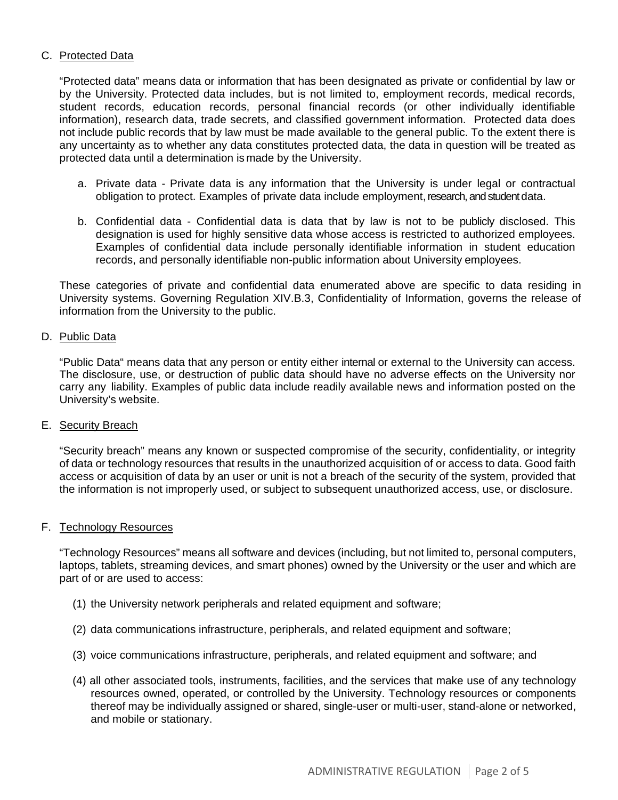#### C. Protected Data

"Protected data" means data or information that has been designated as private or confidential by law or by the University. Protected data includes, but is not limited to, employment records, medical records, student records, education records, personal financial records (or other individually identifiable information), research data, trade secrets, and classified government information. Protected data does not include public records that by law must be made available to the general public. To the extent there is any uncertainty as to whether any data constitutes protected data, the data in question will be treated as protected data until a determination is made by the University.

- a. Private data Private data is any information that the University is under legal or contractual obligation to protect. Examples of private data include employment, research, and student data.
- b. Confidential data Confidential data is data that by law is not to be publicly disclosed. This designation is used for highly sensitive data whose access is restricted to authorized employees. Examples of confidential data include personally identifiable information in student education records, and personally identifiable non-public information about University employees.

These categories of private and confidential data enumerated above are specific to data residing in University systems. Governing Regulation XIV.B.3, Confidentiality of Information, governs the release of information from the University to the public.

#### D. Public Data

"Public Data" means data that any person or entity either internal or external to the University can access. The disclosure, use, or destruction of public data should have no adverse effects on the University nor carry any liability. Examples of public data include readily available news and information posted on the University's website.

#### E. Security Breach

"Security breach" means any known or suspected compromise of the security, confidentiality, or integrity of data or technology resources that results in the unauthorized acquisition of or access to data. Good faith access or acquisition of data by an user or unit is not a breach of the security of the system, provided that the information is not improperly used, or subject to subsequent unauthorized access, use, or disclosure.

#### F. Technology Resources

"Technology Resources" means all software and devices (including, but not limited to, personal computers, laptops, tablets, streaming devices, and smart phones) owned by the University or the user and which are part of or are used to access:

- (1) the University network peripherals and related equipment and software;
- (2) data communications infrastructure, peripherals, and related equipment and software;
- (3) voice communications infrastructure, peripherals, and related equipment and software; and
- (4) all other associated tools, instruments, facilities, and the services that make use of any technology resources owned, operated, or controlled by the University. Technology resources or components thereof may be individually assigned or shared, single-user or multi-user, stand-alone or networked, and mobile or stationary.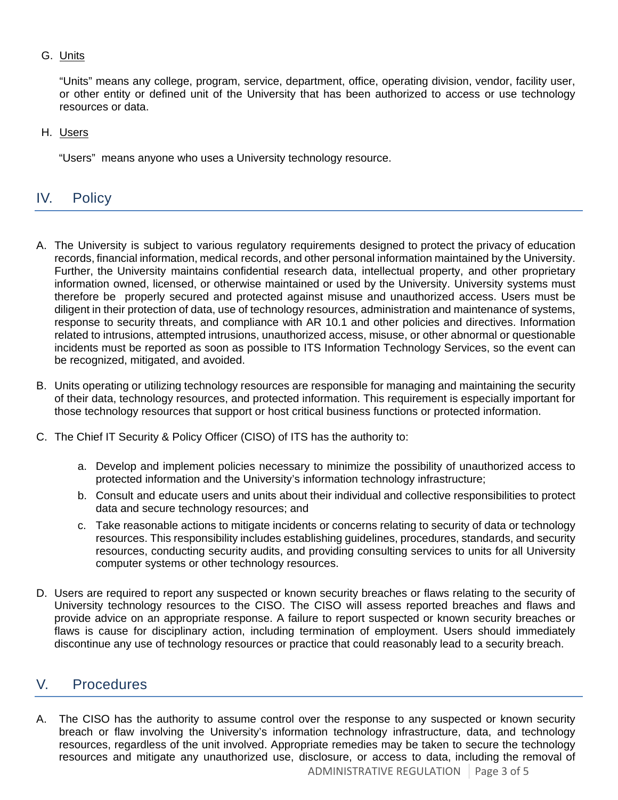#### G. Units

"Units" means any college, program, service, department, office, operating division, vendor, facility user, or other entity or defined unit of the University that has been authorized to access or use technology resources or data.

H. Users

"Users" means anyone who uses a University technology resource.

### <span id="page-2-0"></span>IV. Policy

- A. The University is subject to various regulatory requirements designed to protect the privacy of education records, financial information, medical records, and other personal information maintained by the University. Further, the University maintains confidential research data, intellectual property, and other proprietary information owned, licensed, or otherwise maintained or used by the University. University systems must therefore be properly secured and protected against misuse and unauthorized access. Users must be diligent in their protection of data, use of technology resources, administration and maintenance of systems, response to security threats, and compliance with AR 10.1 and other policies and directives. Information related to intrusions, attempted intrusions, unauthorized access, misuse, or other abnormal or questionable incidents must be reported as soon as possible to ITS Information Technology Services, so the event can be recognized, mitigated, and avoided.
- B. Units operating or utilizing technology resources are responsible for managing and maintaining the security of their data, technology resources, and protected information. This requirement is especially important for those technology resources that support or host critical business functions or protected information.
- C. The Chief IT Security & Policy Officer (CISO) of ITS has the authority to:
	- a. Develop and implement policies necessary to minimize the possibility of unauthorized access to protected information and the University's information technology infrastructure;
	- b. Consult and educate users and units about their individual and collective responsibilities to protect data and secure technology resources; and
	- c. Take reasonable actions to mitigate incidents or concerns relating to security of data or technology resources. This responsibility includes establishing guidelines, procedures, standards, and security resources, conducting security audits, and providing consulting services to units for all University computer systems or other technology resources.
- D. Users are required to report any suspected or known security breaches or flaws relating to the security of University technology resources to the CISO. The CISO will assess reported breaches and flaws and provide advice on an appropriate response. A failure to report suspected or known security breaches or flaws is cause for disciplinary action, including termination of employment. Users should immediately discontinue any use of technology resources or practice that could reasonably lead to a security breach.

## <span id="page-2-1"></span>V. Procedures

ADMINISTRATIVE REGULATION Page 3 of 5 A. The CISO has the authority to assume control over the response to any suspected or known security breach or flaw involving the University's information technology infrastructure, data, and technology resources, regardless of the unit involved. Appropriate remedies may be taken to secure the technology resources and mitigate any unauthorized use, disclosure, or access to data, including the removal of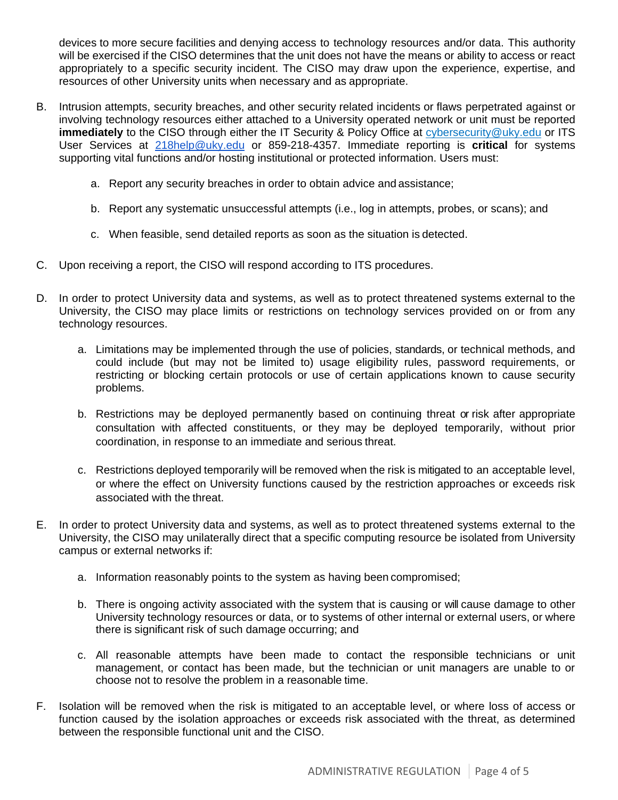devices to more secure facilities and denying access to technology resources and/or data. This authority will be exercised if the CISO determines that the unit does not have the means or ability to access or react appropriately to a specific security incident. The CISO may draw upon the experience, expertise, and resources of other University units when necessary and as appropriate.

- B. Intrusion attempts, security breaches, and other security related incidents or flaws perpetrated against or involving technology resources either attached to a University operated network or unit must be reported **immediately** to the CISO through either the IT Security & Policy Office at cybe[rsecurity@uky.edu](mailto:security@uky.edu) or ITS User Services at [218help@uky.edu](mailto:218help@uky.edu) or 859-218-4357. Immediate reporting is **critical** for systems supporting vital functions and/or hosting institutional or protected information. Users must:
	- a. Report any security breaches in order to obtain advice and assistance;
	- b. Report any systematic unsuccessful attempts (i.e., log in attempts, probes, or scans); and
	- c. When feasible, send detailed reports as soon as the situation is detected.
- C. Upon receiving a report, the CISO will respond according to ITS procedures.
- D. In order to protect University data and systems, as well as to protect threatened systems external to the University, the CISO may place limits or restrictions on technology services provided on or from any technology resources.
	- a. Limitations may be implemented through the use of policies, standards, or technical methods, and could include (but may not be limited to) usage eligibility rules, password requirements, or restricting or blocking certain protocols or use of certain applications known to cause security problems.
	- b. Restrictions may be deployed permanently based on continuing threat or risk after appropriate consultation with affected constituents, or they may be deployed temporarily, without prior coordination, in response to an immediate and serious threat.
	- c. Restrictions deployed temporarily will be removed when the risk is mitigated to an acceptable level, or where the effect on University functions caused by the restriction approaches or exceeds risk associated with the threat.
- E. In order to protect University data and systems, as well as to protect threatened systems external to the University, the CISO may unilaterally direct that a specific computing resource be isolated from University campus or external networks if:
	- a. Information reasonably points to the system as having been compromised;
	- b. There is ongoing activity associated with the system that is causing or will cause damage to other University technology resources or data, or to systems of other internal or external users, or where there is significant risk of such damage occurring; and
	- c. All reasonable attempts have been made to contact the responsible technicians or unit management, or contact has been made, but the technician or unit managers are unable to or choose not to resolve the problem in a reasonable time.
- F. Isolation will be removed when the risk is mitigated to an acceptable level, or where loss of access or function caused by the isolation approaches or exceeds risk associated with the threat, as determined between the responsible functional unit and the CISO.